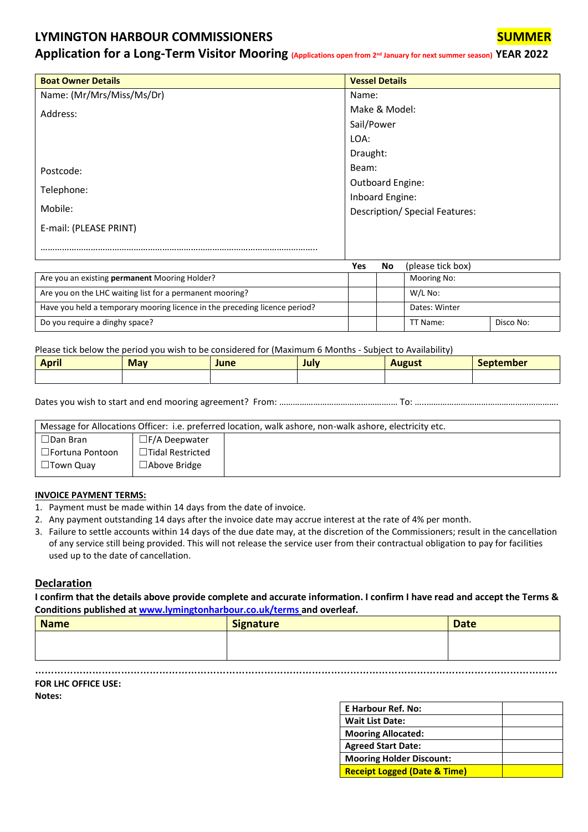## **LYMINGTON HARBOUR COMMISSIONERS SUMMER**

**Application for a Long-Term Visitor Mooring (Applications open from 2nd January for next summer season) YEAR 2022**

| <b>Boat Owner Details</b> | <b>Vessel Details</b>                 |
|---------------------------|---------------------------------------|
| Name: (Mr/Mrs/Miss/Ms/Dr) | Name:                                 |
| Address:                  | Make & Model:                         |
|                           | Sail/Power                            |
|                           | LOA:                                  |
|                           | Draught:                              |
| Postcode:                 | Beam:                                 |
|                           | Outboard Engine:                      |
| Telephone:                | Inboard Engine:                       |
| Mobile:                   | <b>Description/ Special Features:</b> |
| E-mail: (PLEASE PRINT)    |                                       |
|                           |                                       |

|                                                                            | Yes | No | (please tick box) |           |
|----------------------------------------------------------------------------|-----|----|-------------------|-----------|
| Are you an existing permanent Mooring Holder?                              |     |    | Mooring No:       |           |
| Are you on the LHC waiting list for a permanent mooring?                   |     |    | W/L No:           |           |
| Have you held a temporary mooring licence in the preceding licence period? |     |    | Dates: Winter     |           |
| Do you require a dinghy space?                                             |     |    | TT Name:          | Disco No: |

Please tick below the period you wish to be considered for (Maximum 6 Months - Subject to Availability)

| . .<br><b>April</b> | <b>May</b> | June | July | <b>August</b> | <b>September</b> |
|---------------------|------------|------|------|---------------|------------------|
|                     |            |      |      |               |                  |

Dates you wish to start and end mooring agreement? From: ………………………………………….… To: …..………………………………………………….

| Message for Allocations Officer: i.e. preferred location, walk ashore, non-walk ashore, electricity etc. |                         |  |
|----------------------------------------------------------------------------------------------------------|-------------------------|--|
| $\Box$ Dan Bran                                                                                          | $\Box$ F/A Deepwater    |  |
| □Fortuna Pontoon                                                                                         | $\Box$ Tidal Restricted |  |
| $\Box$ Town Quav                                                                                         | $\Box$ Above Bridge     |  |

## **INVOICE PAYMENT TERMS:**

- 1. Payment must be made within 14 days from the date of invoice.
- 2. Any payment outstanding 14 days after the invoice date may accrue interest at the rate of 4% per month.
- 3. Failure to settle accounts within 14 days of the due date may, at the discretion of the Commissioners; result in the cancellation of any service still being provided. This will not release the service user from their contractual obligation to pay for facilities used up to the date of cancellation.

## **Declaration**

**I confirm that the details above provide complete and accurate information. I confirm I have read and accept the Terms & Conditions published at [www.lymingtonharbour.co.uk/terms](http://www.lymingtonharbour.co.uk/terms) and overleaf.**

| <b>Date</b> |
|-------------|
|             |
|             |
|             |

……………………………………………………………………………………………………………………………..…………………

| <b>FOR LHC OFFICE USE:</b> |  |
|----------------------------|--|

**Notes:**

| <b>E Harbour Ref. No:</b>               |  |
|-----------------------------------------|--|
| <b>Wait List Date:</b>                  |  |
| <b>Mooring Allocated:</b>               |  |
| <b>Agreed Start Date:</b>               |  |
| <b>Mooring Holder Discount:</b>         |  |
| <b>Receipt Logged (Date &amp; Time)</b> |  |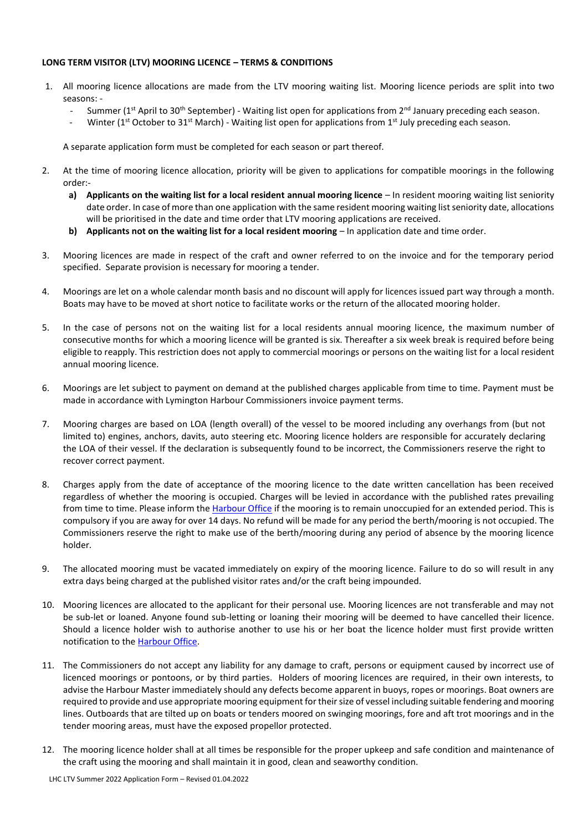## **LONG TERM VISITOR (LTV) MOORING LICENCE – TERMS & CONDITIONS**

- 1. All mooring licence allocations are made from the LTV mooring waiting list. Mooring licence periods are split into two seasons: -
	- Summer ( $1<sup>st</sup>$  April to 30<sup>th</sup> September) Waiting list open for applications from  $2<sup>nd</sup>$  January preceding each season.
	- Winter (1<sup>st</sup> October to 31<sup>st</sup> March) Waiting list open for applications from 1<sup>st</sup> July preceding each season.

A separate application form must be completed for each season or part thereof.

- 2. At the time of mooring licence allocation, priority will be given to applications for compatible moorings in the following order:
	- **a) Applicants on the waiting list for a local resident annual mooring licence** In resident mooring waiting list seniority date order. In case of more than one application with the same resident mooring waiting list seniority date, allocations will be prioritised in the date and time order that LTV mooring applications are received.
	- **b) Applicants not on the waiting list for a local resident mooring** In application date and time order.
- 3. Mooring licences are made in respect of the craft and owner referred to on the invoice and for the temporary period specified. Separate provision is necessary for mooring a tender.
- 4. Moorings are let on a whole calendar month basis and no discount will apply for licences issued part way through a month. Boats may have to be moved at short notice to facilitate works or the return of the allocated mooring holder.
- 5. In the case of persons not on the waiting list for a local residents annual mooring licence, the maximum number of consecutive months for which a mooring licence will be granted is six. Thereafter a six week break is required before being eligible to reapply. This restriction does not apply to commercial moorings or persons on the waiting list for a local resident annual mooring licence.
- 6. Moorings are let subject to payment on demand at the published charges applicable from time to time. Payment must be made in accordance with Lymington Harbour Commissioners invoice payment terms.
- 7. Mooring charges are based on LOA (length overall) of the vessel to be moored including any overhangs from (but not limited to) engines, anchors, davits, auto steering etc. Mooring licence holders are responsible for accurately declaring the LOA of their vessel. If the declaration is subsequently found to be incorrect, the Commissioners reserve the right to recover correct payment.
- 8. Charges apply from the date of acceptance of the mooring licence to the date written cancellation has been received regardless of whether the mooring is occupied. Charges will be levied in accordance with the published rates prevailing from time to time. Please inform the [Harbour Office](mailto:info@lymingtonharbour.co.uk?subject=Notification%20of%20Vacation%20of%20Temporary%20Berth) if the mooring is to remain unoccupied for an extended period. This is compulsory if you are away for over 14 days. No refund will be made for any period the berth/mooring is not occupied. The Commissioners reserve the right to make use of the berth/mooring during any period of absence by the mooring licence holder.
- 9. The allocated mooring must be vacated immediately on expiry of the mooring licence. Failure to do so will result in any extra days being charged at the published visitor rates and/or the craft being impounded.
- 10. Mooring licences are allocated to the applicant for their personal use. Mooring licences are not transferable and may not be sub-let or loaned. Anyone found sub-letting or loaning their mooring will be deemed to have cancelled their licence. Should a licence holder wish to authorise another to use his or her boat the licence holder must first provide written notification to th[e Harbour Office.](mailto:info@lymingtonharbour.co.uk?subject=Authorisation%20for%20Third%20Party%20to%20Use%20Owners%20Boat%20moored%20on%20a%20Temporary%20Berth)
- 11. The Commissioners do not accept any liability for any damage to craft, persons or equipment caused by incorrect use of licenced moorings or pontoons, or by third parties. Holders of mooring licences are required, in their own interests, to advise the Harbour Master immediately should any defects become apparent in buoys, ropes or moorings. Boat owners are required to provide and use appropriate mooring equipment for their size of vessel including suitable fendering and mooring lines. Outboards that are tilted up on boats or tenders moored on swinging moorings, fore and aft trot moorings and in the tender mooring areas, must have the exposed propellor protected.
- 12. The mooring licence holder shall at all times be responsible for the proper upkeep and safe condition and maintenance of the craft using the mooring and shall maintain it in good, clean and seaworthy condition.